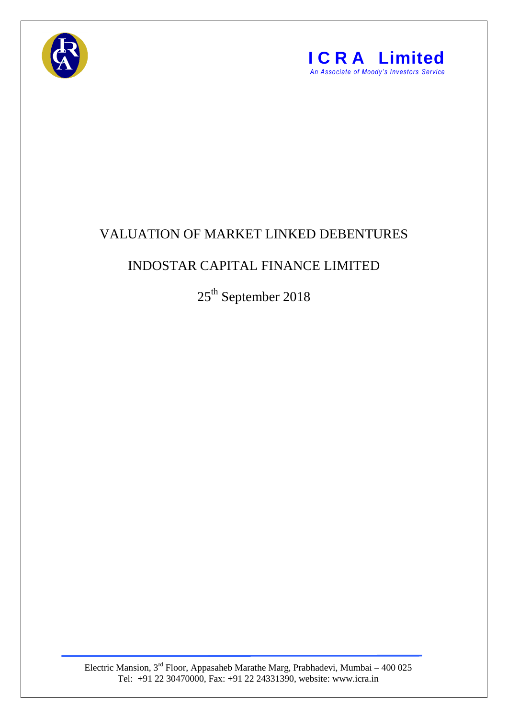



## VALUATION OF MARKET LINKED DEBENTURES

## INDOSTAR CAPITAL FINANCE LIMITED

 $25^{\text{th}}$  September 2018